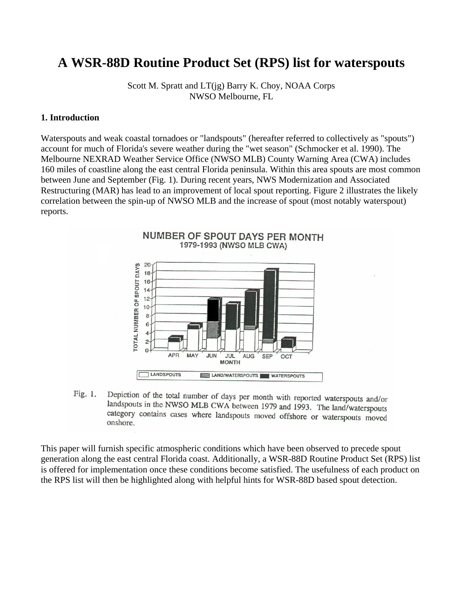# **A WSR-88D Routine Product Set (RPS) list for waterspouts**

Scott M. Spratt and LT(jg) Barry K. Choy, NOAA Corps NWSO Melbourne, FL

#### **1. Introduction**

Waterspouts and weak coastal tornadoes or "landspouts" (hereafter referred to collectively as "spouts") account for much of Florida's severe weather during the "wet season" (Schmocker et al. 1990). The Melbourne NEXRAD Weather Service Office (NWSO MLB) County Warning Area (CWA) includes 160 miles of coastline along the east central Florida peninsula. Within this area spouts are most common between June and September (Fig. 1). During recent years, NWS Modernization and Associated Restructuring (MAR) has lead to an improvement of local spout reporting. Figure 2 illustrates the likely correlation between the spin-up of NWSO MLB and the increase of spout (most notably waterspout) reports.



Depiction of the total number of days per month with reported waterspouts and/or Fig. 1. landspouts in the NWSO MLB CWA between 1979 and 1993. The land/waterspouts category contains cases where landspouts moved offshore or waterspouts moved onshore.

This paper will furnish specific atmospheric conditions which have been observed to precede spout generation along the east central Florida coast. Additionally, a WSR-88D Routine Product Set (RPS) list is offered for implementation once these conditions become satisfied. The usefulness of each product on the RPS list will then be highlighted along with helpful hints for WSR-88D based spout detection.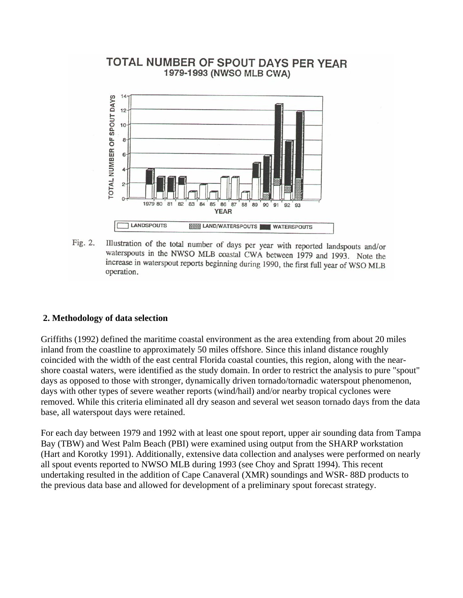## TOTAL NUMBER OF SPOUT DAYS PER YEAR 1979-1993 (NWSO MLB CWA)



Illustration of the total number of days per year with reported landspouts and/or Fig. 2. waterspouts in the NWSO MLB coastal CWA between 1979 and 1993. Note the increase in waterspout reports beginning during 1990, the first full year of WSO MLB operation.

#### **2. Methodology of data selection**

Griffiths (1992) defined the maritime coastal environment as the area extending from about 20 miles inland from the coastline to approximately 50 miles offshore. Since this inland distance roughly coincided with the width of the east central Florida coastal counties, this region, along with the nearshore coastal waters, were identified as the study domain. In order to restrict the analysis to pure "spout" days as opposed to those with stronger, dynamically driven tornado/tornadic waterspout phenomenon, days with other types of severe weather reports (wind/hail) and/or nearby tropical cyclones were removed. While this criteria eliminated all dry season and several wet season tornado days from the data base, all waterspout days were retained.

For each day between 1979 and 1992 with at least one spout report, upper air sounding data from Tampa Bay (TBW) and West Palm Beach (PBI) were examined using output from the SHARP workstation (Hart and Korotky 1991). Additionally, extensive data collection and analyses were performed on nearly all spout events reported to NWSO MLB during 1993 (see Choy and Spratt 1994). This recent undertaking resulted in the addition of Cape Canaveral (XMR) soundings and WSR- 88D products to the previous data base and allowed for development of a preliminary spout forecast strategy.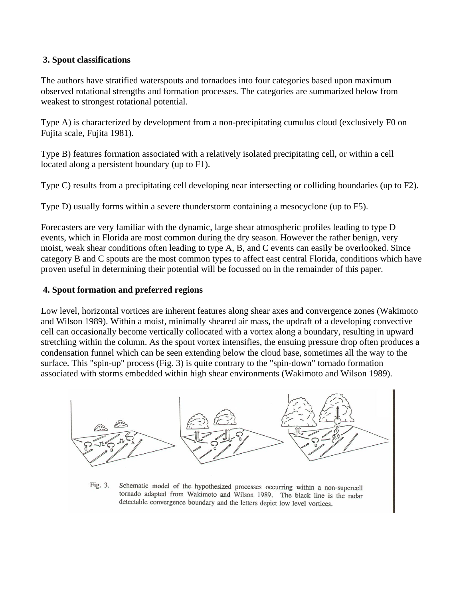### **3. Spout classifications**

The authors have stratified waterspouts and tornadoes into four categories based upon maximum observed rotational strengths and formation processes. The categories are summarized below from weakest to strongest rotational potential.

Type A) is characterized by development from a non-precipitating cumulus cloud (exclusively F0 on Fujita scale, Fujita 1981).

Type B) features formation associated with a relatively isolated precipitating cell, or within a cell located along a persistent boundary (up to F1).

Type C) results from a precipitating cell developing near intersecting or colliding boundaries (up to F2).

Type D) usually forms within a severe thunderstorm containing a mesocyclone (up to F5).

Forecasters are very familiar with the dynamic, large shear atmospheric profiles leading to type D events, which in Florida are most common during the dry season. However the rather benign, very moist, weak shear conditions often leading to type A, B, and C events can easily be overlooked. Since category B and C spouts are the most common types to affect east central Florida, conditions which have proven useful in determining their potential will be focussed on in the remainder of this paper.

### **4. Spout formation and preferred regions**

Low level, horizontal vortices are inherent features along shear axes and convergence zones (Wakimoto and Wilson 1989). Within a moist, minimally sheared air mass, the updraft of a developing convective cell can occasionally become vertically collocated with a vortex along a boundary, resulting in upward stretching within the column. As the spout vortex intensifies, the ensuing pressure drop often produces a condensation funnel which can be seen extending below the cloud base, sometimes all the way to the surface. This "spin-up" process (Fig. 3) is quite contrary to the "spin-down" tornado formation associated with storms embedded within high shear environments (Wakimoto and Wilson 1989).



Schematic model of the hypothesized processes occurring within a non-supercell Fig. 3. tornado adapted from Wakimoto and Wilson 1989. The black line is the radar detectable convergence boundary and the letters depict low level vortices.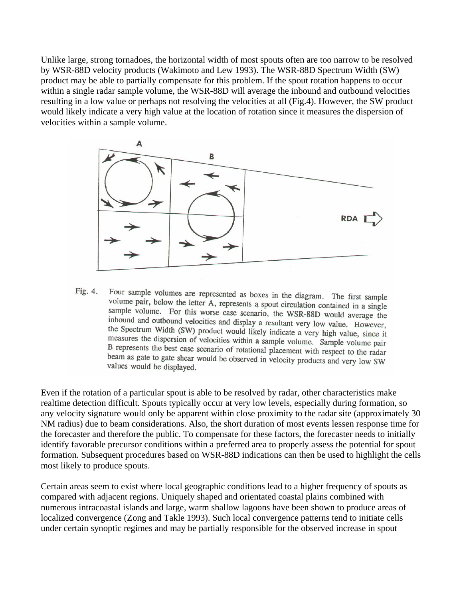Unlike large, strong tornadoes, the horizontal width of most spouts often are too narrow to be resolved by WSR-88D velocity products (Wakimoto and Lew 1993). The WSR-88D Spectrum Width (SW) product may be able to partially compensate for this problem. If the spout rotation happens to occur within a single radar sample volume, the WSR-88D will average the inbound and outbound velocities resulting in a low value or perhaps not resolving the velocities at all (Fig.4). However, the SW product would likely indicate a very high value at the location of rotation since it measures the dispersion of velocities within a sample volume.



Four sample volumes are represented as boxes in the diagram. The first sample volume pair, below the latter t Fig. 4. volume pair, below the letter A, represents a spout circulation contained in a single sample volume. For this worse case scenario, the WSR-88D would average the<br>inhound and outbound velocities of the USR-88D would average the inbound and outbound velocities and display a resultant very low value. However, the Spectrum Width (SW) product would likely indicate a very high value, since it measures the dispersion of velocities within a sample volume. Sample volume pair B represents the best case scenario of rotational placement with respect to the radar beam as gate to gate shear would be observed in velocity products and very low SW values would be displayed.

Even if the rotation of a particular spout is able to be resolved by radar, other characteristics make realtime detection difficult. Spouts typically occur at very low levels, especially during formation, so any velocity signature would only be apparent within close proximity to the radar site (approximately 30 NM radius) due to beam considerations. Also, the short duration of most events lessen response time for the forecaster and therefore the public. To compensate for these factors, the forecaster needs to initially identify favorable precursor conditions within a preferred area to properly assess the potential for spout formation. Subsequent procedures based on WSR-88D indications can then be used to highlight the cells most likely to produce spouts.

Certain areas seem to exist where local geographic conditions lead to a higher frequency of spouts as compared with adjacent regions. Uniquely shaped and orientated coastal plains combined with numerous intracoastal islands and large, warm shallow lagoons have been shown to produce areas of localized convergence (Zong and Takle 1993). Such local convergence patterns tend to initiate cells under certain synoptic regimes and may be partially responsible for the observed increase in spout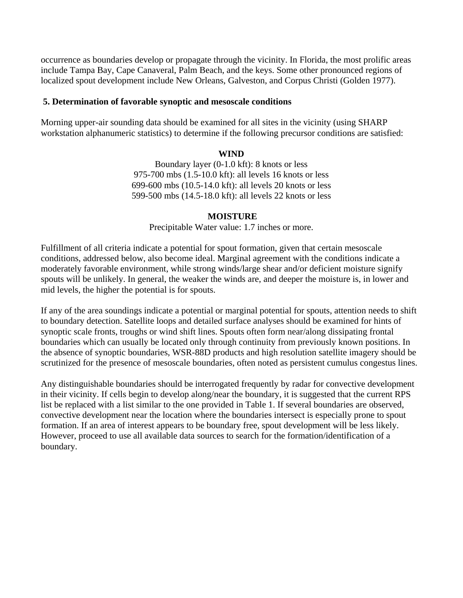occurrence as boundaries develop or propagate through the vicinity. In Florida, the most prolific areas include Tampa Bay, Cape Canaveral, Palm Beach, and the keys. Some other pronounced regions of localized spout development include New Orleans, Galveston, and Corpus Christi (Golden 1977).

#### **5. Determination of favorable synoptic and mesoscale conditions**

Morning upper-air sounding data should be examined for all sites in the vicinity (using SHARP workstation alphanumeric statistics) to determine if the following precursor conditions are satisfied:

### **WIND**

Boundary layer (0-1.0 kft): 8 knots or less 975-700 mbs (1.5-10.0 kft): all levels 16 knots or less 699-600 mbs (10.5-14.0 kft): all levels 20 knots or less 599-500 mbs (14.5-18.0 kft): all levels 22 knots or less

#### **MOISTURE**

Precipitable Water value: 1.7 inches or more.

Fulfillment of all criteria indicate a potential for spout formation, given that certain mesoscale conditions, addressed below, also become ideal. Marginal agreement with the conditions indicate a moderately favorable environment, while strong winds/large shear and/or deficient moisture signify spouts will be unlikely. In general, the weaker the winds are, and deeper the moisture is, in lower and mid levels, the higher the potential is for spouts.

If any of the area soundings indicate a potential or marginal potential for spouts, attention needs to shift to boundary detection. Satellite loops and detailed surface analyses should be examined for hints of synoptic scale fronts, troughs or wind shift lines. Spouts often form near/along dissipating frontal boundaries which can usually be located only through continuity from previously known positions. In the absence of synoptic boundaries, WSR-88D products and high resolution satellite imagery should be scrutinized for the presence of mesoscale boundaries, often noted as persistent cumulus congestus lines.

Any distinguishable boundaries should be interrogated frequently by radar for convective development in their vicinity. If cells begin to develop along/near the boundary, it is suggested that the current RPS list be replaced with a list similar to the one provided in Table 1. If several boundaries are observed, convective development near the location where the boundaries intersect is especially prone to spout formation. If an area of interest appears to be boundary free, spout development will be less likely. However, proceed to use all available data sources to search for the formation/identification of a boundary.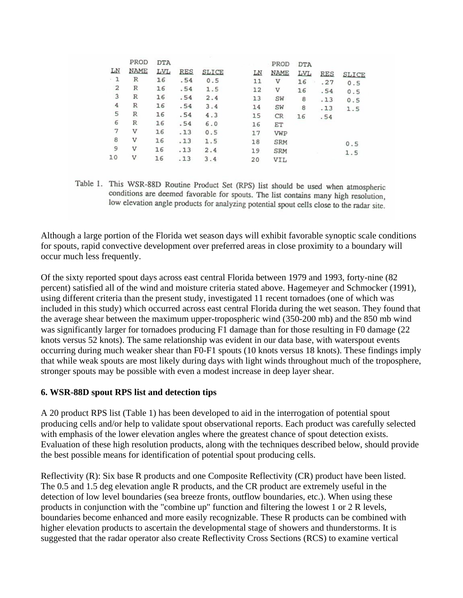|                | PROD        | <b>DTA</b> |            |              |    | PROD        | <b>DTA</b> |            |              |
|----------------|-------------|------------|------------|--------------|----|-------------|------------|------------|--------------|
| LN             | <b>NAME</b> | LVL        | <b>RES</b> | <b>SLICE</b> | LΝ | <b>NAME</b> | LVL        | <b>RES</b> | <b>SLICE</b> |
| $-1$           | R           | 16         | .54        | 0.5          | 11 | $\mathbf v$ | 16         | .27        | 0.5          |
| $\overline{2}$ | R           | 16         | .54        | 1.5          | 12 | v           | 16         | .54        | 0.5          |
| 3              | R           | 16         | .54        | 2.4          | 13 | SW          | 8          | .13        | 0.5          |
| 4              | R           | 16         | .54        | 3.4          | 14 | SW          | 8          | .13        | 1.5          |
| 5              | R           | 16         | .54        | 4.3          | 15 | <b>CR</b>   | 16         | .54        |              |
| 6              | $\mathbb R$ | 16         | .54        | 6.0          | 16 | ET          |            |            |              |
| 7              | v           | 16         | .13        | 0.5          | 17 | VWP         |            |            |              |
| 8              | v           | 16         | .13        | 1.5          | 18 | <b>SRM</b>  |            |            | 0.5          |
| 9              | V           | 16         | .13        | 2.4          | 19 | <b>SRM</b>  |            |            | 1.5          |
| 10             | V           | 16         | .13        | 3.4          | 20 | VIL         |            |            |              |

Table 1. This WSR-88D Routine Product Set (RPS) list should be used when atmospheric conditions are deemed favorable for spouts. The list contains many high resolution, low elevation angle products for analyzing potential spout cells close to the radar site.

Although a large portion of the Florida wet season days will exhibit favorable synoptic scale conditions for spouts, rapid convective development over preferred areas in close proximity to a boundary will occur much less frequently.

Of the sixty reported spout days across east central Florida between 1979 and 1993, forty-nine (82 percent) satisfied all of the wind and moisture criteria stated above. Hagemeyer and Schmocker (1991), using different criteria than the present study, investigated 11 recent tornadoes (one of which was included in this study) which occurred across east central Florida during the wet season. They found that the average shear between the maximum upper-tropospheric wind (350-200 mb) and the 850 mb wind was significantly larger for tornadoes producing F1 damage than for those resulting in F0 damage (22 knots versus 52 knots). The same relationship was evident in our data base, with waterspout events occurring during much weaker shear than F0-F1 spouts (10 knots versus 18 knots). These findings imply that while weak spouts are most likely during days with light winds throughout much of the troposphere, stronger spouts may be possible with even a modest increase in deep layer shear.

#### **6. WSR-88D spout RPS list and detection tips**

A 20 product RPS list (Table 1) has been developed to aid in the interrogation of potential spout producing cells and/or help to validate spout observational reports. Each product was carefully selected with emphasis of the lower elevation angles where the greatest chance of spout detection exists. Evaluation of these high resolution products, along with the techniques described below, should provide the best possible means for identification of potential spout producing cells.

Reflectivity (R): Six base R products and one Composite Reflectivity (CR) product have been listed. The 0.5 and 1.5 deg elevation angle R products, and the CR product are extremely useful in the detection of low level boundaries (sea breeze fronts, outflow boundaries, etc.). When using these products in conjunction with the "combine up" function and filtering the lowest 1 or 2 R levels, boundaries become enhanced and more easily recognizable. These R products can be combined with higher elevation products to ascertain the developmental stage of showers and thunderstorms. It is suggested that the radar operator also create Reflectivity Cross Sections (RCS) to examine vertical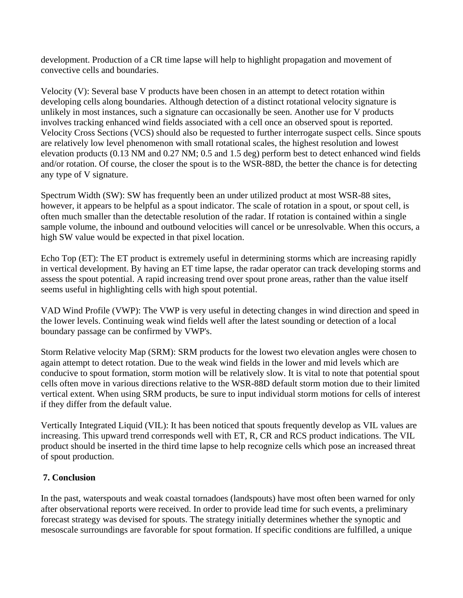development. Production of a CR time lapse will help to highlight propagation and movement of convective cells and boundaries.

Velocity (V): Several base V products have been chosen in an attempt to detect rotation within developing cells along boundaries. Although detection of a distinct rotational velocity signature is unlikely in most instances, such a signature can occasionally be seen. Another use for V products involves tracking enhanced wind fields associated with a cell once an observed spout is reported. Velocity Cross Sections (VCS) should also be requested to further interrogate suspect cells. Since spouts are relatively low level phenomenon with small rotational scales, the highest resolution and lowest elevation products (0.13 NM and 0.27 NM; 0.5 and 1.5 deg) perform best to detect enhanced wind fields and/or rotation. Of course, the closer the spout is to the WSR-88D, the better the chance is for detecting any type of V signature.

Spectrum Width (SW): SW has frequently been an under utilized product at most WSR-88 sites, however, it appears to be helpful as a spout indicator. The scale of rotation in a spout, or spout cell, is often much smaller than the detectable resolution of the radar. If rotation is contained within a single sample volume, the inbound and outbound velocities will cancel or be unresolvable. When this occurs, a high SW value would be expected in that pixel location.

Echo Top (ET): The ET product is extremely useful in determining storms which are increasing rapidly in vertical development. By having an ET time lapse, the radar operator can track developing storms and assess the spout potential. A rapid increasing trend over spout prone areas, rather than the value itself seems useful in highlighting cells with high spout potential.

VAD Wind Profile (VWP): The VWP is very useful in detecting changes in wind direction and speed in the lower levels. Continuing weak wind fields well after the latest sounding or detection of a local boundary passage can be confirmed by VWP's.

Storm Relative velocity Map (SRM): SRM products for the lowest two elevation angles were chosen to again attempt to detect rotation. Due to the weak wind fields in the lower and mid levels which are conducive to spout formation, storm motion will be relatively slow. It is vital to note that potential spout cells often move in various directions relative to the WSR-88D default storm motion due to their limited vertical extent. When using SRM products, be sure to input individual storm motions for cells of interest if they differ from the default value.

Vertically Integrated Liquid (VIL): It has been noticed that spouts frequently develop as VIL values are increasing. This upward trend corresponds well with ET, R, CR and RCS product indications. The VIL product should be inserted in the third time lapse to help recognize cells which pose an increased threat of spout production.

### **7. Conclusion**

In the past, waterspouts and weak coastal tornadoes (landspouts) have most often been warned for only after observational reports were received. In order to provide lead time for such events, a preliminary forecast strategy was devised for spouts. The strategy initially determines whether the synoptic and mesoscale surroundings are favorable for spout formation. If specific conditions are fulfilled, a unique